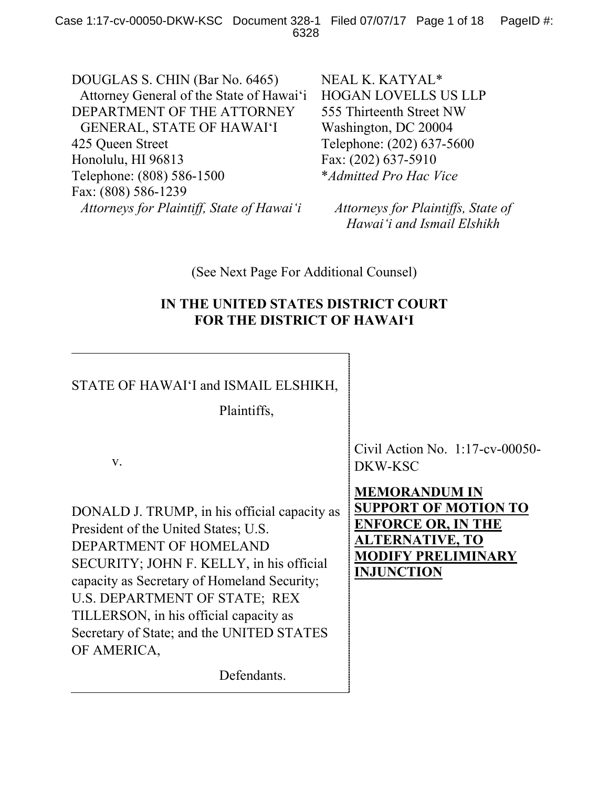DOUGLAS S. CHIN (Bar No. 6465) Attorney General of the State of Hawai'i DEPARTMENT OF THE ATTORNEY GENERAL, STATE OF HAWAI'I 425 Queen Street Honolulu, HI 96813 Telephone: (808) 586-1500 Fax: (808) 586-1239 *Attorneys for Plaintiff, State of Hawai'i*

NEAL K. KATYAL\* HOGAN LOVELLS US LLP 555 Thirteenth Street NW Washington, DC 20004 Telephone: (202) 637-5600 Fax: (202) 637-5910 \**Admitted Pro Hac Vice*

*Attorneys for Plaintiffs, State of Hawai'i and Ismail Elshikh*

(See Next Page For Additional Counsel)

## **IN THE UNITED STATES DISTRICT COURT FOR THE DISTRICT OF HAWAI'I**

# STATE OF HAWAI'I and ISMAIL ELSHIKH,

Plaintiffs,

v.

DONALD J. TRUMP, in his official capacity as President of the United States; U.S. DEPARTMENT OF HOMELAND SECURITY; JOHN F. KELLY, in his official capacity as Secretary of Homeland Security; U.S. DEPARTMENT OF STATE; REX TILLERSON, in his official capacity as Secretary of State; and the UNITED STATES OF AMERICA,

Defendants.

Civil Action No. 1:17-cv-00050- DKW-KSC

**MEMORANDUM IN SUPPORT OF MOTION TO ENFORCE OR, IN THE ALTERNATIVE, TO MODIFY PRELIMINARY INJUNCTION**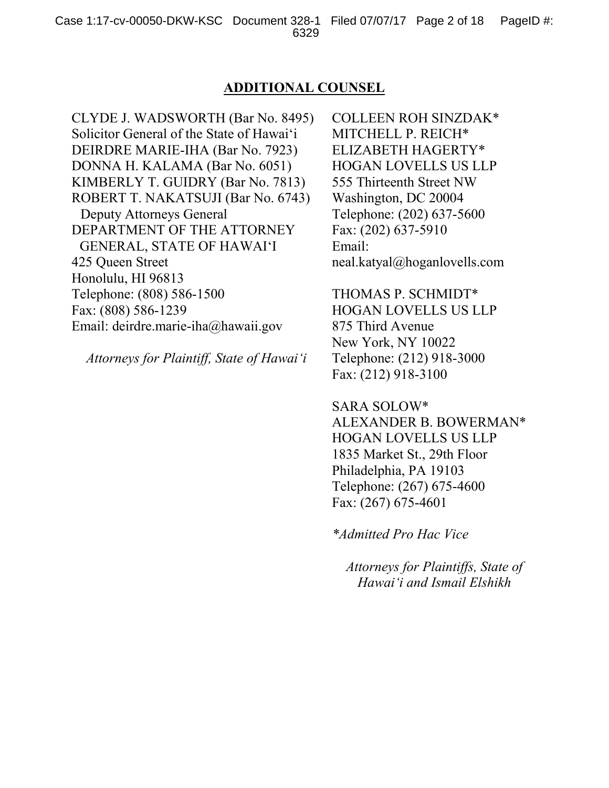### **ADDITIONAL COUNSEL**

CLYDE J. WADSWORTH (Bar No. 8495) Solicitor General of the State of Hawai'i DEIRDRE MARIE-IHA (Bar No. 7923) DONNA H. KALAMA (Bar No. 6051) KIMBERLY T. GUIDRY (Bar No. 7813) ROBERT T. NAKATSUJI (Bar No. 6743) Deputy Attorneys General DEPARTMENT OF THE ATTORNEY GENERAL, STATE OF HAWAI'I 425 Queen Street Honolulu, HI 96813 Telephone: (808) 586-1500 Fax: (808) 586-1239 Email: deirdre.marie-iha@hawaii.gov

*Attorneys for Plaintiff, State of Hawai'i*

COLLEEN ROH SINZDAK\* MITCHELL P. REICH\* ELIZABETH HAGERTY\* HOGAN LOVELLS US LLP 555 Thirteenth Street NW Washington, DC 20004 Telephone: (202) 637-5600 Fax: (202) 637-5910 Email: neal.katyal@hoganlovells.com

THOMAS P. SCHMIDT\* HOGAN LOVELLS US LLP 875 Third Avenue New York, NY 10022 Telephone: (212) 918-3000 Fax: (212) 918-3100

SARA SOLOW\* ALEXANDER B. BOWERMAN\* HOGAN LOVELLS US LLP 1835 Market St., 29th Floor Philadelphia, PA 19103 Telephone: (267) 675-4600 Fax: (267) 675-4601

*\*Admitted Pro Hac Vice*

*Attorneys for Plaintiffs, State of Hawai'i and Ismail Elshikh*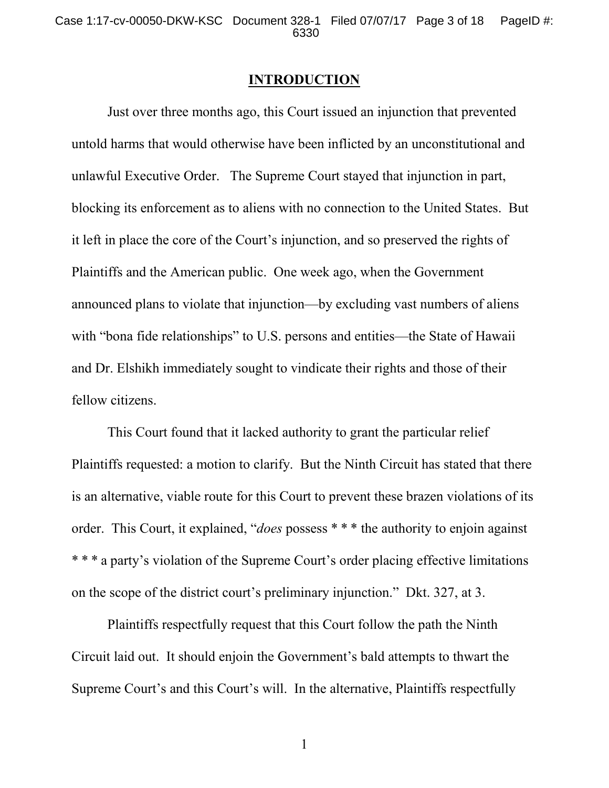### **INTRODUCTION**

Just over three months ago, this Court issued an injunction that prevented untold harms that would otherwise have been inflicted by an unconstitutional and unlawful Executive Order. The Supreme Court stayed that injunction in part, blocking its enforcement as to aliens with no connection to the United States. But it left in place the core of the Court's injunction, and so preserved the rights of Plaintiffs and the American public. One week ago, when the Government announced plans to violate that injunction—by excluding vast numbers of aliens with "bona fide relationships" to U.S. persons and entities—the State of Hawaii and Dr. Elshikh immediately sought to vindicate their rights and those of their fellow citizens.

This Court found that it lacked authority to grant the particular relief Plaintiffs requested: a motion to clarify. But the Ninth Circuit has stated that there is an alternative, viable route for this Court to prevent these brazen violations of its order. This Court, it explained, "*does* possess \* \* \* the authority to enjoin against \* \* \* a party's violation of the Supreme Court's order placing effective limitations on the scope of the district court's preliminary injunction." Dkt. 327, at 3.

Plaintiffs respectfully request that this Court follow the path the Ninth Circuit laid out. It should enjoin the Government's bald attempts to thwart the Supreme Court's and this Court's will. In the alternative, Plaintiffs respectfully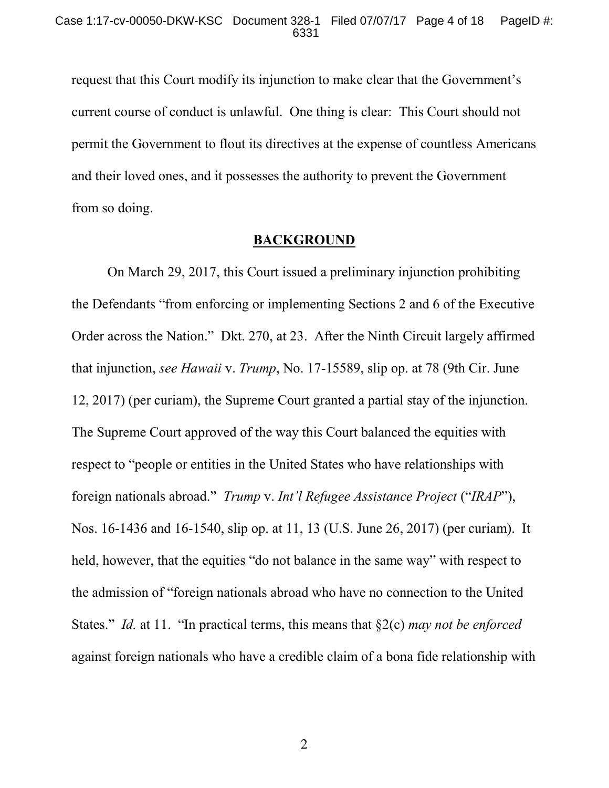request that this Court modify its injunction to make clear that the Government's current course of conduct is unlawful. One thing is clear: This Court should not permit the Government to flout its directives at the expense of countless Americans and their loved ones, and it possesses the authority to prevent the Government from so doing.

#### **BACKGROUND**

On March 29, 2017, this Court issued a preliminary injunction prohibiting the Defendants "from enforcing or implementing Sections 2 and 6 of the Executive Order across the Nation." Dkt. 270, at 23. After the Ninth Circuit largely affirmed that injunction, *see Hawaii* v. *Trump*, No. 17-15589, slip op. at 78 (9th Cir. June 12, 2017) (per curiam), the Supreme Court granted a partial stay of the injunction. The Supreme Court approved of the way this Court balanced the equities with respect to "people or entities in the United States who have relationships with foreign nationals abroad." *Trump* v. *Int'l Refugee Assistance Project* ("*IRAP*"), Nos. 16-1436 and 16-1540, slip op. at 11, 13 (U.S. June 26, 2017) (per curiam). It held, however, that the equities "do not balance in the same way" with respect to the admission of "foreign nationals abroad who have no connection to the United States." *Id.* at 11. "In practical terms, this means that §2(c) *may not be enforced* against foreign nationals who have a credible claim of a bona fide relationship with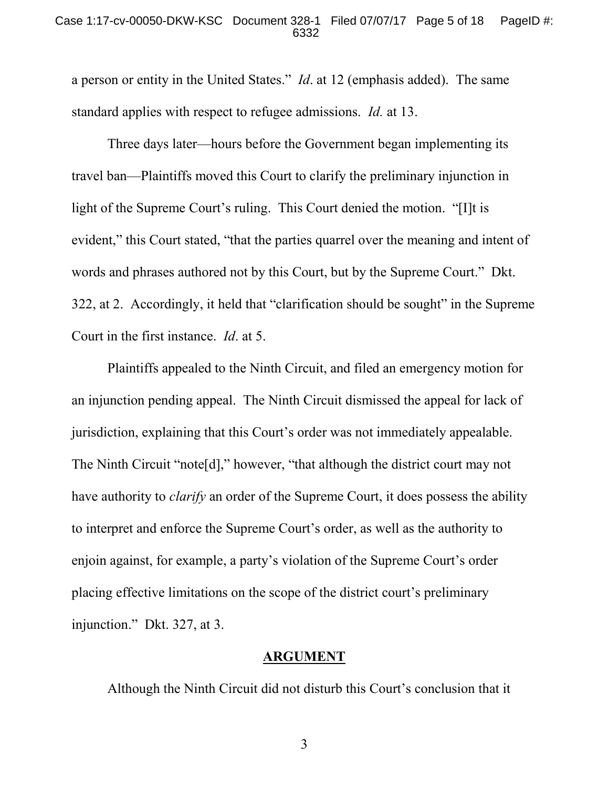#### Case 1:17-cv-00050-DKW-KSC Document 328-1 Filed 07/07/17 Page 5 of 18 PageID #: 6332

a person or entity in the United States." *Id*. at 12 (emphasis added). The same standard applies with respect to refugee admissions. *Id.* at 13.

Three days later—hours before the Government began implementing its travel ban—Plaintiffs moved this Court to clarify the preliminary injunction in light of the Supreme Court's ruling. This Court denied the motion. "[I]t is evident," this Court stated, "that the parties quarrel over the meaning and intent of words and phrases authored not by this Court, but by the Supreme Court." Dkt. 322, at 2. Accordingly, it held that "clarification should be sought" in the Supreme Court in the first instance. *Id*. at 5.

Plaintiffs appealed to the Ninth Circuit, and filed an emergency motion for an injunction pending appeal. The Ninth Circuit dismissed the appeal for lack of jurisdiction, explaining that this Court's order was not immediately appealable. The Ninth Circuit "note[d]," however, "that although the district court may not have authority to *clarify* an order of the Supreme Court, it does possess the ability to interpret and enforce the Supreme Court's order, as well as the authority to enjoin against, for example, a party's violation of the Supreme Court's order placing effective limitations on the scope of the district court's preliminary injunction." Dkt. 327, at 3.

#### **ARGUMENT**

Although the Ninth Circuit did not disturb this Court's conclusion that it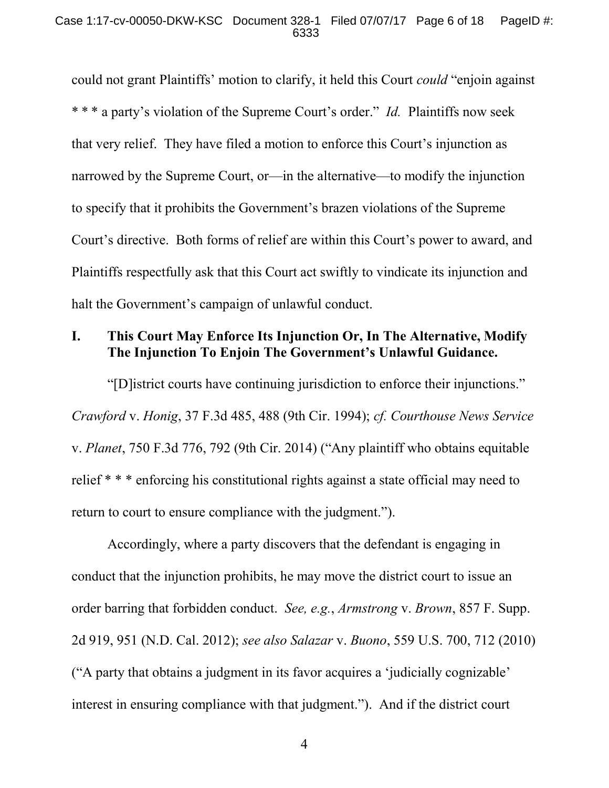could not grant Plaintiffs' motion to clarify, it held this Court *could* "enjoin against \* \* \* a party's violation of the Supreme Court's order." *Id.* Plaintiffs now seek that very relief. They have filed a motion to enforce this Court's injunction as narrowed by the Supreme Court, or—in the alternative—to modify the injunction to specify that it prohibits the Government's brazen violations of the Supreme Court's directive. Both forms of relief are within this Court's power to award, and Plaintiffs respectfully ask that this Court act swiftly to vindicate its injunction and halt the Government's campaign of unlawful conduct.

## **I. This Court May Enforce Its Injunction Or, In The Alternative, Modify The Injunction To Enjoin The Government's Unlawful Guidance.**

"[D]istrict courts have continuing jurisdiction to enforce their injunctions." *Crawford* v. *Honig*, 37 F.3d 485, 488 (9th Cir. 1994); *cf. Courthouse News Service* v. *Planet*, 750 F.3d 776, 792 (9th Cir. 2014) ("Any plaintiff who obtains equitable relief \* \* \* enforcing his constitutional rights against a state official may need to return to court to ensure compliance with the judgment.").

Accordingly, where a party discovers that the defendant is engaging in conduct that the injunction prohibits, he may move the district court to issue an order barring that forbidden conduct. *See, e.g.*, *Armstrong* v. *Brown*, 857 F. Supp. 2d 919, 951 (N.D. Cal. 2012); *see also Salazar* v. *Buono*, 559 U.S. 700, 712 (2010) ("A party that obtains a judgment in its favor acquires a 'judicially cognizable' interest in ensuring compliance with that judgment."). And if the district court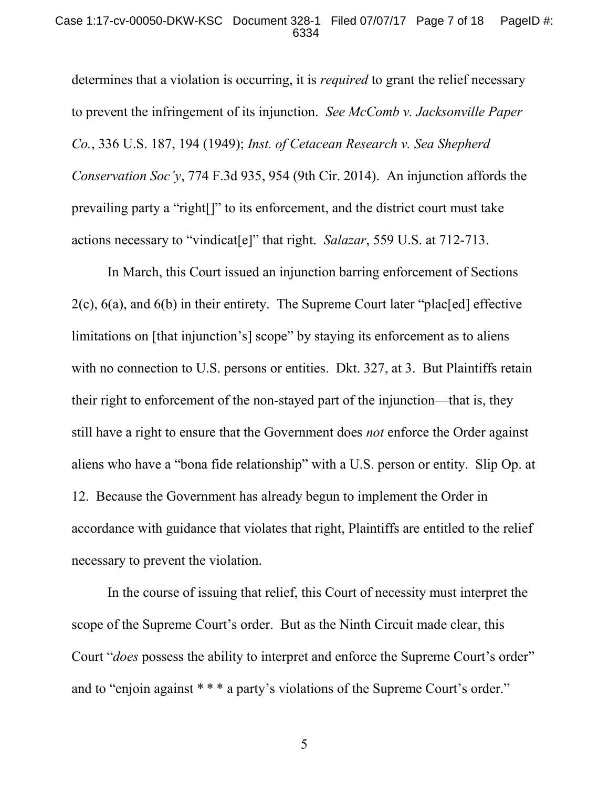determines that a violation is occurring, it is *required* to grant the relief necessary to prevent the infringement of its injunction. *See McComb v. Jacksonville Paper Co.*, 336 U.S. 187, 194 (1949); *Inst. of Cetacean Research v. Sea Shepherd Conservation Soc'y*, 774 F.3d 935, 954 (9th Cir. 2014). An injunction affords the prevailing party a "right[]" to its enforcement, and the district court must take actions necessary to "vindicat[e]" that right. *Salazar*, 559 U.S. at 712-713.

In March, this Court issued an injunction barring enforcement of Sections 2(c), 6(a), and 6(b) in their entirety. The Supreme Court later "plac[ed] effective limitations on [that injunction's] scope" by staying its enforcement as to aliens with no connection to U.S. persons or entities. Dkt. 327, at 3. But Plaintiffs retain their right to enforcement of the non-stayed part of the injunction—that is, they still have a right to ensure that the Government does *not* enforce the Order against aliens who have a "bona fide relationship" with a U.S. person or entity. Slip Op. at 12. Because the Government has already begun to implement the Order in accordance with guidance that violates that right, Plaintiffs are entitled to the relief necessary to prevent the violation.

In the course of issuing that relief, this Court of necessity must interpret the scope of the Supreme Court's order. But as the Ninth Circuit made clear, this Court "*does* possess the ability to interpret and enforce the Supreme Court's order" and to "enjoin against \* \* \* a party's violations of the Supreme Court's order."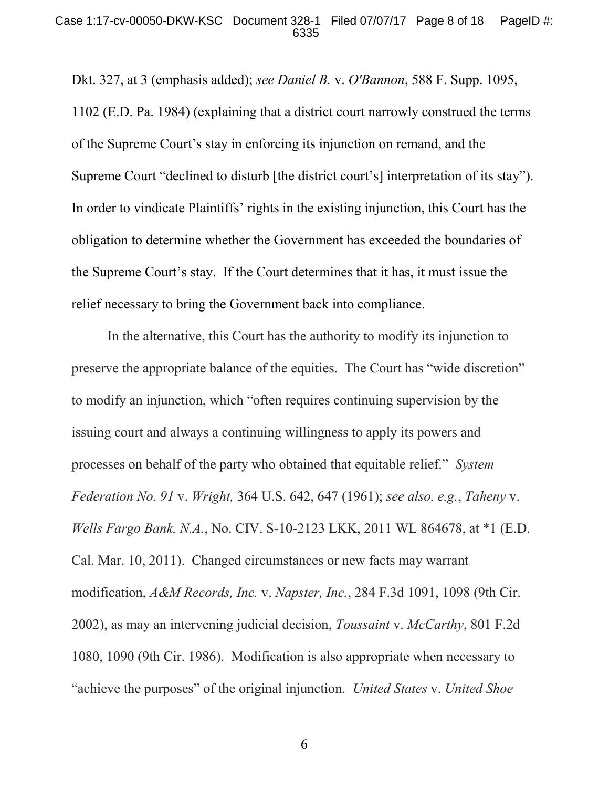Dkt. 327, at 3 (emphasis added); *see Daniel B.* v. *O'Bannon*, 588 F. Supp. 1095, 1102 (E.D. Pa. 1984) (explaining that a district court narrowly construed the terms of the Supreme Court's stay in enforcing its injunction on remand, and the Supreme Court "declined to disturb [the district court's] interpretation of its stay"). In order to vindicate Plaintiffs' rights in the existing injunction, this Court has the obligation to determine whether the Government has exceeded the boundaries of the Supreme Court's stay. If the Court determines that it has, it must issue the relief necessary to bring the Government back into compliance.

In the alternative, this Court has the authority to modify its injunction to preserve the appropriate balance of the equities. The Court has "wide discretion" to modify an injunction, which "often requires continuing supervision by the issuing court and always a continuing willingness to apply its powers and processes on behalf of the party who obtained that equitable relief." *System Federation No. 91* v. *Wright,* 364 U.S. 642, 647 (1961); *see also, e.g.*, *Taheny* v. *Wells Fargo Bank, N.A.*, No. CIV. S-10-2123 LKK, 2011 WL 864678, at \*1 (E.D. Cal. Mar. 10, 2011). Changed circumstances or new facts may warrant modification, *A&M Records, Inc.* v. *Napster, Inc.*, 284 F.3d 1091, 1098 (9th Cir. 2002), as may an intervening judicial decision, *Toussaint* v. *McCarthy*, 801 F.2d 1080, 1090 (9th Cir. 1986). Modification is also appropriate when necessary to "achieve the purposes" of the original injunction. *United States* v. *United Shoe*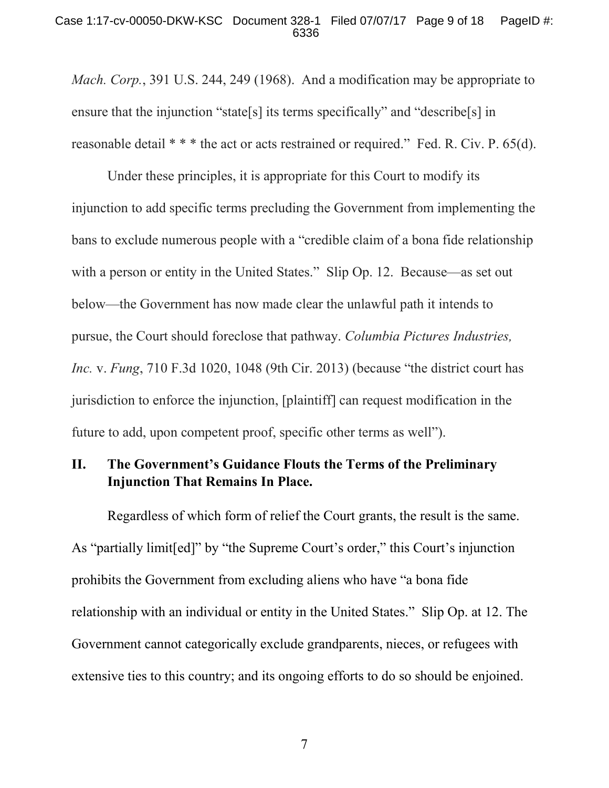#### Case 1:17-cv-00050-DKW-KSC Document 328-1 Filed 07/07/17 Page 9 of 18 PageID #: 6336

*Mach. Corp.*, 391 U.S. 244, 249 (1968). And a modification may be appropriate to ensure that the injunction "state[s] its terms specifically" and "describe[s] in reasonable detail \* \* \* the act or acts restrained or required." Fed. R. Civ. P. 65(d).

Under these principles, it is appropriate for this Court to modify its injunction to add specific terms precluding the Government from implementing the bans to exclude numerous people with a "credible claim of a bona fide relationship with a person or entity in the United States." Slip Op. 12. Because—as set out below—the Government has now made clear the unlawful path it intends to pursue, the Court should foreclose that pathway. *Columbia Pictures Industries, Inc.* v. *Fung*, 710 F.3d 1020, 1048 (9th Cir. 2013) (because "the district court has jurisdiction to enforce the injunction, [plaintiff] can request modification in the future to add, upon competent proof, specific other terms as well").

## **II. The Government's Guidance Flouts the Terms of the Preliminary Injunction That Remains In Place.**

Regardless of which form of relief the Court grants, the result is the same. As "partially limit[ed]" by "the Supreme Court's order," this Court's injunction prohibits the Government from excluding aliens who have "a bona fide relationship with an individual or entity in the United States." Slip Op. at 12. The Government cannot categorically exclude grandparents, nieces, or refugees with extensive ties to this country; and its ongoing efforts to do so should be enjoined.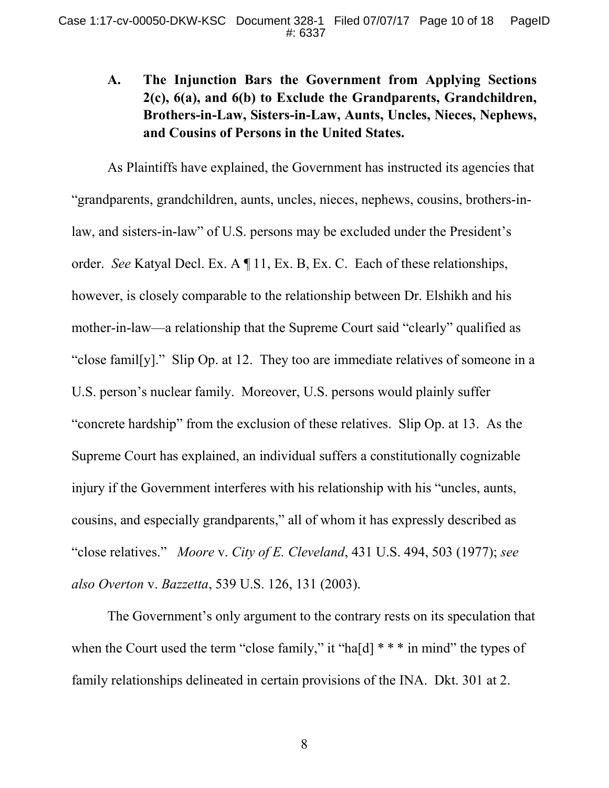# **A. The Injunction Bars the Government from Applying Sections 2(c), 6(a), and 6(b) to Exclude the Grandparents, Grandchildren, Brothers-in-Law, Sisters-in-Law, Aunts, Uncles, Nieces, Nephews, and Cousins of Persons in the United States.**

As Plaintiffs have explained, the Government has instructed its agencies that "grandparents, grandchildren, aunts, uncles, nieces, nephews, cousins, brothers-inlaw, and sisters-in-law" of U.S. persons may be excluded under the President's order. *See* Katyal Decl. Ex. A ¶ 11, Ex. B, Ex. C. Each of these relationships, however, is closely comparable to the relationship between Dr. Elshikh and his mother-in-law—a relationship that the Supreme Court said "clearly" qualified as "close famil[y]." Slip Op. at 12. They too are immediate relatives of someone in a U.S. person's nuclear family. Moreover, U.S. persons would plainly suffer "concrete hardship" from the exclusion of these relatives. Slip Op. at 13. As the Supreme Court has explained, an individual suffers a constitutionally cognizable injury if the Government interferes with his relationship with his "uncles, aunts, cousins, and especially grandparents," all of whom it has expressly described as "close relatives." *Moore* v. *City of E. Cleveland*, 431 U.S. 494, 503 (1977); *see also Overton* v. *Bazzetta*, 539 U.S. 126, 131 (2003).

The Government's only argument to the contrary rests on its speculation that when the Court used the term "close family," it "ha[d] \* \* \* in mind" the types of family relationships delineated in certain provisions of the INA. Dkt. 301 at 2.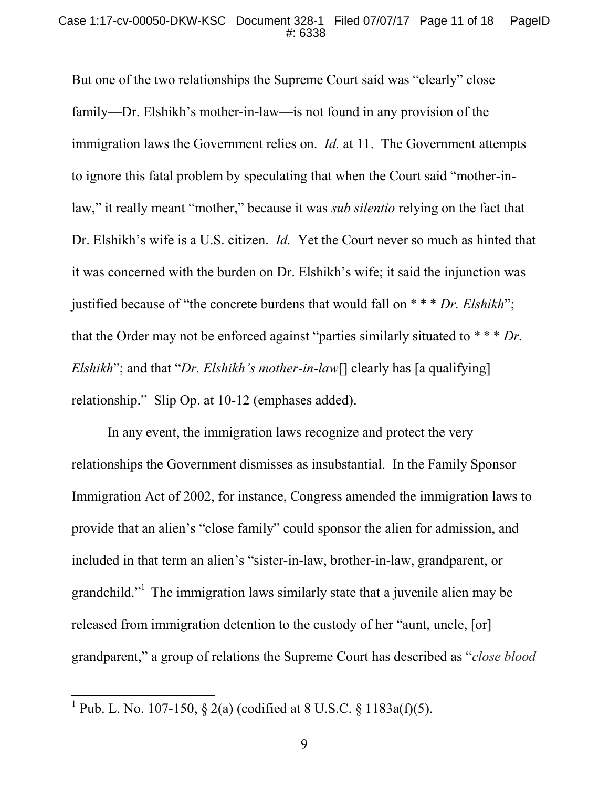But one of the two relationships the Supreme Court said was "clearly" close family—Dr. Elshikh's mother-in-law—is not found in any provision of the immigration laws the Government relies on. *Id.* at 11. The Government attempts to ignore this fatal problem by speculating that when the Court said "mother-inlaw," it really meant "mother," because it was *sub silentio* relying on the fact that Dr. Elshikh's wife is a U.S. citizen. *Id.* Yet the Court never so much as hinted that it was concerned with the burden on Dr. Elshikh's wife; it said the injunction was justified because of "the concrete burdens that would fall on \* \* \* *Dr. Elshikh*"; that the Order may not be enforced against "parties similarly situated to \* \* \* *Dr. Elshikh*"; and that "*Dr. Elshikh's mother-in-law*[] clearly has [a qualifying] relationship." Slip Op. at 10-12 (emphases added).

In any event, the immigration laws recognize and protect the very relationships the Government dismisses as insubstantial. In the Family Sponsor Immigration Act of 2002, for instance, Congress amended the immigration laws to provide that an alien's "close family" could sponsor the alien for admission, and included in that term an alien's "sister-in-law, brother-in-law, grandparent, or grandchild."<sup>1</sup> The immigration laws similarly state that a juvenile alien may be released from immigration detention to the custody of her "aunt, uncle, [or] grandparent," a group of relations the Supreme Court has described as "*close blood*

<sup>&</sup>lt;sup>1</sup> Pub. L. No. 107-150, § 2(a) (codified at 8 U.S.C. § 1183a(f)(5).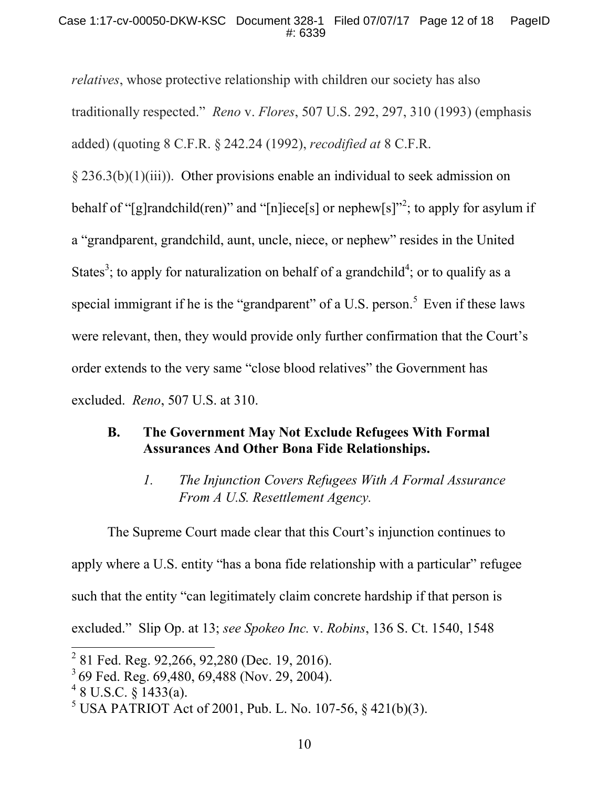*relatives*, whose protective relationship with children our society has also traditionally respected." *Reno* v. *Flores*, 507 U.S. 292, 297, 310 (1993) (emphasis added) (quoting 8 C.F.R. § 242.24 (1992), *recodified at* 8 C.F.R.

§ 236.3(b)(1)(iii)). Other provisions enable an individual to seek admission on behalf of "[g]randchild(ren)" and "[n]iece[s] or nephew[s]"<sup>2</sup>; to apply for asylum if a "grandparent, grandchild, aunt, uncle, niece, or nephew" resides in the United States<sup>3</sup>; to apply for naturalization on behalf of a grandchild<sup>4</sup>; or to qualify as a special immigrant if he is the "grandparent" of a U.S. person.<sup>5</sup> Even if these laws were relevant, then, they would provide only further confirmation that the Court's order extends to the very same "close blood relatives" the Government has excluded. *Reno*, 507 U.S. at 310.

## **B. The Government May Not Exclude Refugees With Formal Assurances And Other Bona Fide Relationships.**

*1. The Injunction Covers Refugees With A Formal Assurance From A U.S. Resettlement Agency.*

The Supreme Court made clear that this Court's injunction continues to apply where a U.S. entity "has a bona fide relationship with a particular" refugee such that the entity "can legitimately claim concrete hardship if that person is excluded." Slip Op. at 13; *see Spokeo Inc.* v. *Robins*, 136 S. Ct. 1540, 1548

<sup>&</sup>lt;sup>2</sup> 81 Fed. Reg. 92,266, 92,280 (Dec. 19, 2016).

<sup>3</sup> 69 Fed. Reg. 69,480, 69,488 (Nov. 29, 2004).

 $48$  U.S.C.  $\S$  1433(a).

 $5 \text{ USA PATRIOT}$  Act of 2001, Pub. L. No. 107-56, § 421(b)(3).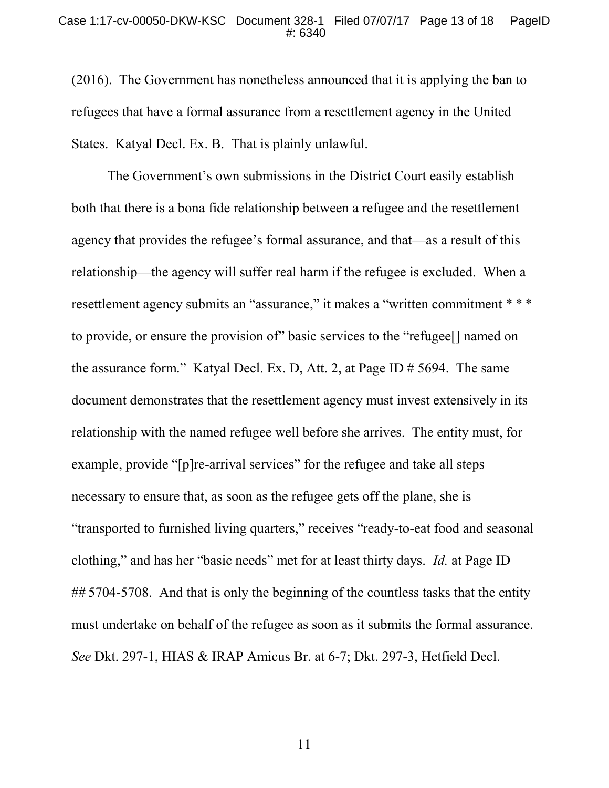(2016). The Government has nonetheless announced that it is applying the ban to refugees that have a formal assurance from a resettlement agency in the United States. Katyal Decl. Ex. B. That is plainly unlawful.

The Government's own submissions in the District Court easily establish both that there is a bona fide relationship between a refugee and the resettlement agency that provides the refugee's formal assurance, and that—as a result of this relationship—the agency will suffer real harm if the refugee is excluded. When a resettlement agency submits an "assurance," it makes a "written commitment \* \* \* to provide, or ensure the provision of" basic services to the "refugee[] named on the assurance form." Katyal Decl. Ex. D, Att. 2, at Page ID # 5694. The same document demonstrates that the resettlement agency must invest extensively in its relationship with the named refugee well before she arrives. The entity must, for example, provide "[p]re-arrival services" for the refugee and take all steps necessary to ensure that, as soon as the refugee gets off the plane, she is "transported to furnished living quarters," receives "ready-to-eat food and seasonal clothing," and has her "basic needs" met for at least thirty days. *Id.* at Page ID ## 5704-5708. And that is only the beginning of the countless tasks that the entity must undertake on behalf of the refugee as soon as it submits the formal assurance. *See* Dkt. 297-1, HIAS & IRAP Amicus Br. at 6-7; Dkt. 297-3, Hetfield Decl.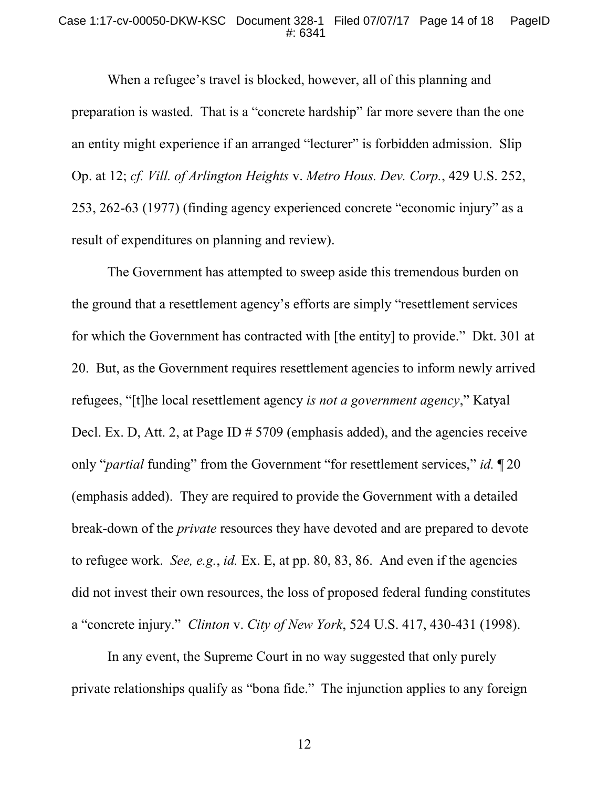#### Case 1:17-cv-00050-DKW-KSC Document 328-1 Filed 07/07/17 Page 14 of 18 PageID #: 6341

When a refugee's travel is blocked, however, all of this planning and preparation is wasted. That is a "concrete hardship" far more severe than the one an entity might experience if an arranged "lecturer" is forbidden admission. Slip Op. at 12; *cf. Vill. of Arlington Heights* v. *Metro Hous. Dev. Corp.*, 429 U.S. 252, 253, 262-63 (1977) (finding agency experienced concrete "economic injury" as a result of expenditures on planning and review).

The Government has attempted to sweep aside this tremendous burden on the ground that a resettlement agency's efforts are simply "resettlement services for which the Government has contracted with [the entity] to provide." Dkt. 301 at 20. But, as the Government requires resettlement agencies to inform newly arrived refugees, "[t]he local resettlement agency *is not a government agency*," Katyal Decl. Ex. D, Att. 2, at Page ID # 5709 (emphasis added), and the agencies receive only "*partial* funding" from the Government "for resettlement services," *id.* ¶ 20 (emphasis added). They are required to provide the Government with a detailed break-down of the *private* resources they have devoted and are prepared to devote to refugee work. *See, e.g.*, *id.* Ex. E, at pp. 80, 83, 86. And even if the agencies did not invest their own resources, the loss of proposed federal funding constitutes a "concrete injury." *Clinton* v. *City of New York*, 524 U.S. 417, 430-431 (1998).

In any event, the Supreme Court in no way suggested that only purely private relationships qualify as "bona fide." The injunction applies to any foreign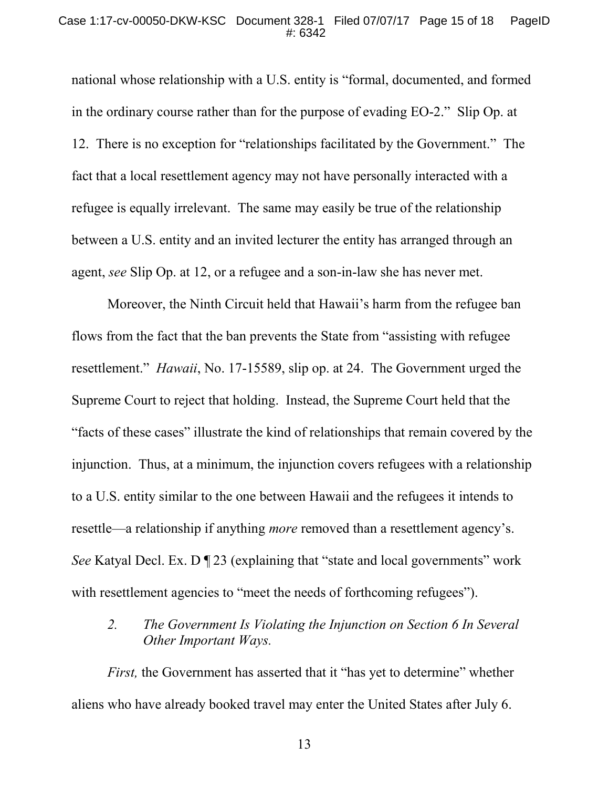national whose relationship with a U.S. entity is "formal, documented, and formed in the ordinary course rather than for the purpose of evading EO-2." Slip Op. at 12. There is no exception for "relationships facilitated by the Government." The fact that a local resettlement agency may not have personally interacted with a refugee is equally irrelevant. The same may easily be true of the relationship between a U.S. entity and an invited lecturer the entity has arranged through an agent, *see* Slip Op. at 12, or a refugee and a son-in-law she has never met.

Moreover, the Ninth Circuit held that Hawaii's harm from the refugee ban flows from the fact that the ban prevents the State from "assisting with refugee resettlement." *Hawaii*, No. 17-15589, slip op. at 24. The Government urged the Supreme Court to reject that holding. Instead, the Supreme Court held that the "facts of these cases" illustrate the kind of relationships that remain covered by the injunction. Thus, at a minimum, the injunction covers refugees with a relationship to a U.S. entity similar to the one between Hawaii and the refugees it intends to resettle—a relationship if anything *more* removed than a resettlement agency's. *See* Katyal Decl. Ex. D  $\P$  23 (explaining that "state and local governments" work with resettlement agencies to "meet the needs of forthcoming refugees").

*2. The Government Is Violating the Injunction on Section 6 In Several Other Important Ways.*

*First,* the Government has asserted that it "has yet to determine" whether aliens who have already booked travel may enter the United States after July 6.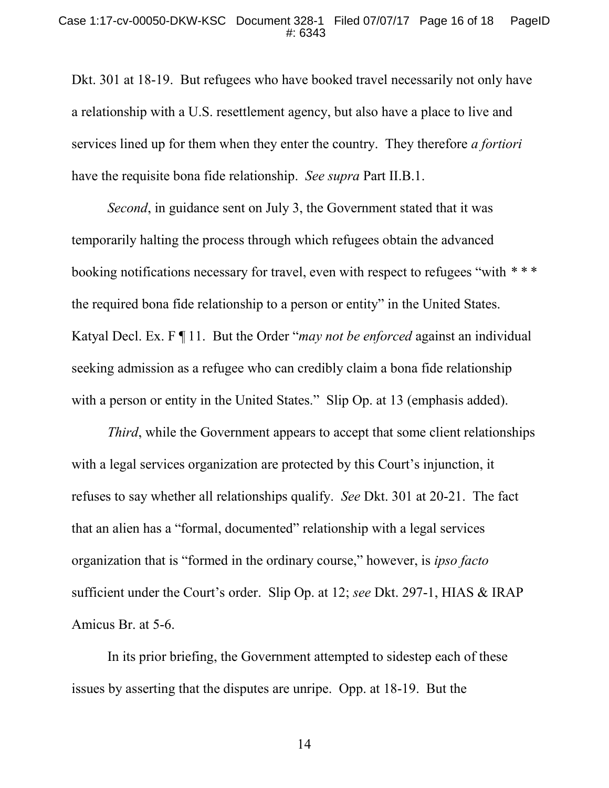Dkt. 301 at 18-19. But refugees who have booked travel necessarily not only have a relationship with a U.S. resettlement agency, but also have a place to live and services lined up for them when they enter the country. They therefore *a fortiori* have the requisite bona fide relationship. *See supra* Part II.B.1.

*Second*, in guidance sent on July 3, the Government stated that it was temporarily halting the process through which refugees obtain the advanced booking notifications necessary for travel, even with respect to refugees "with *\* \* \** the required bona fide relationship to a person or entity" in the United States. Katyal Decl. Ex. F ¶ 11. But the Order "*may not be enforced* against an individual seeking admission as a refugee who can credibly claim a bona fide relationship with a person or entity in the United States." Slip Op. at 13 (emphasis added).

*Third*, while the Government appears to accept that some client relationships with a legal services organization are protected by this Court's injunction, it refuses to say whether all relationships qualify. *See* Dkt. 301 at 20-21. The fact that an alien has a "formal, documented" relationship with a legal services organization that is "formed in the ordinary course," however, is *ipso facto* sufficient under the Court's order. Slip Op. at 12; *see* Dkt. 297-1, HIAS & IRAP Amicus Br. at 5-6.

In its prior briefing, the Government attempted to sidestep each of these issues by asserting that the disputes are unripe. Opp. at 18-19. But the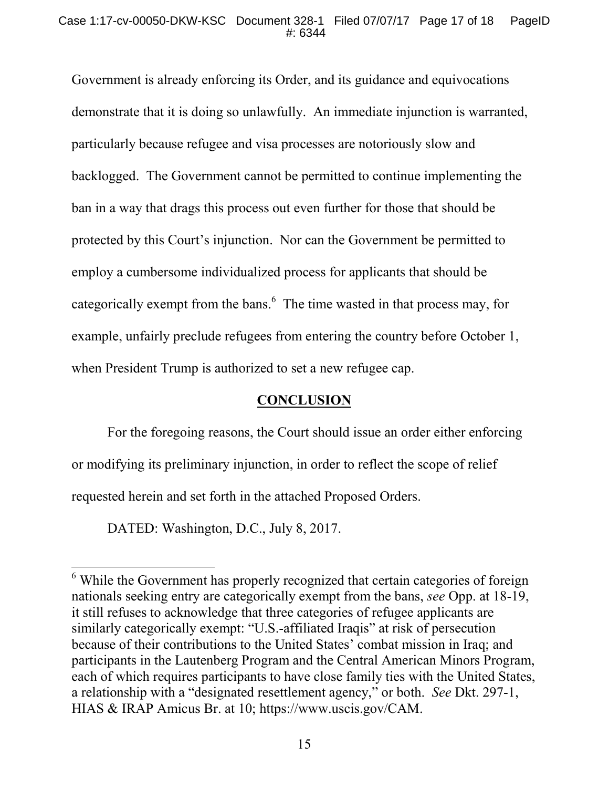Government is already enforcing its Order, and its guidance and equivocations demonstrate that it is doing so unlawfully. An immediate injunction is warranted, particularly because refugee and visa processes are notoriously slow and backlogged. The Government cannot be permitted to continue implementing the ban in a way that drags this process out even further for those that should be protected by this Court's injunction. Nor can the Government be permitted to employ a cumbersome individualized process for applicants that should be categorically exempt from the bans.<sup>6</sup> The time wasted in that process may, for example, unfairly preclude refugees from entering the country before October 1, when President Trump is authorized to set a new refugee cap.

## **CONCLUSION**

For the foregoing reasons, the Court should issue an order either enforcing or modifying its preliminary injunction, in order to reflect the scope of relief requested herein and set forth in the attached Proposed Orders.

DATED: Washington, D.C., July 8, 2017.

<sup>&</sup>lt;sup>6</sup> While the Government has properly recognized that certain categories of foreign nationals seeking entry are categorically exempt from the bans, *see* Opp. at 18-19, it still refuses to acknowledge that three categories of refugee applicants are similarly categorically exempt: "U.S.-affiliated Iraqis" at risk of persecution because of their contributions to the United States' combat mission in Iraq; and participants in the Lautenberg Program and the Central American Minors Program, each of which requires participants to have close family ties with the United States, a relationship with a "designated resettlement agency," or both. *See* Dkt. 297-1, HIAS & IRAP Amicus Br. at 10; https://www.uscis.gov/CAM.